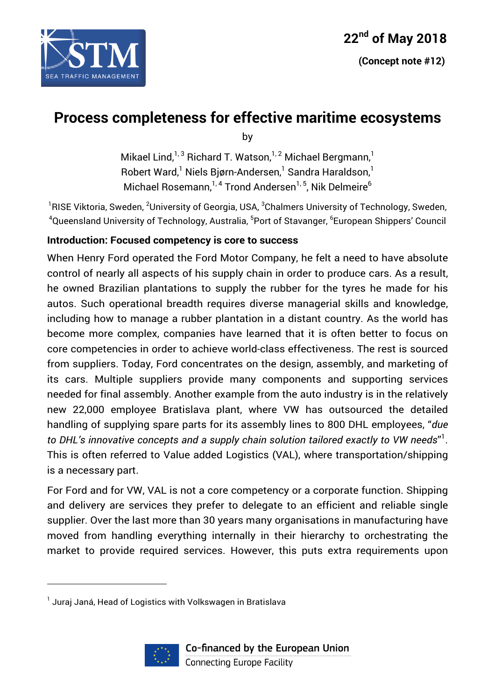

 **(Concept note #12)**

## **Process completeness for effective maritime ecosystems**

by

Mikael Lind, $1, 3$  Richard T. Watson, $1, 2$  Michael Bergmann, $1$ Robert Ward,<sup>1</sup> Niels Bjørn-Andersen,<sup>1</sup> Sandra Haraldson,<sup>1</sup> Michael Rosemann,<sup>1,4</sup> Trond Andersen<sup>1,5</sup>, Nik Delmeire<sup>6</sup>

 $^{\rm 1}$ RISE Viktoria, Sweden,  $^{\rm 2}$ University of Georgia, USA,  $^{\rm 3}$ Chalmers University of Technology, Sweden,  $^4$ Queensland University of Technology, Australia,  $^5$ Port of Stavanger,  $^6$ European Shippers' Council

#### **Introduction: Focused competency is core to success**

When Henry Ford operated the Ford Motor Company, he felt a need to have absolute control of nearly all aspects of his supply chain in order to produce cars. As a result, he owned Brazilian plantations to supply the rubber for the tyres he made for his autos. Such operational breadth requires diverse managerial skills and knowledge, including how to manage a rubber plantation in a distant country. As the world has become more complex, companies have learned that it is often better to focus on core competencies in order to achieve world-class effectiveness. The rest is sourced from suppliers. Today, Ford concentrates on the design, assembly, and marketing of its cars. Multiple suppliers provide many components and supporting services needed for final assembly. Another example from the auto industry is in the relatively new 22,000 employee Bratislava plant, where VW has outsourced the detailed handling of supplying spare parts for its assembly lines to 800 DHL employees, "*due to DHL's innovative concepts and a supply chain solution tailored exactly to VW needs*" 1 . This is often referred to Value added Logistics (VAL), where transportation/shipping is a necessary part.

For Ford and for VW, VAL is not a core competency or a corporate function. Shipping and delivery are services they prefer to delegate to an efficient and reliable single supplier. Over the last more than 30 years many organisations in manufacturing have moved from handling everything internally in their hierarchy to orchestrating the market to provide required services. However, this puts extra requirements upon



 $<sup>1</sup>$  Juraj Janá, Head of Logistics with Volkswagen in Bratislava</sup>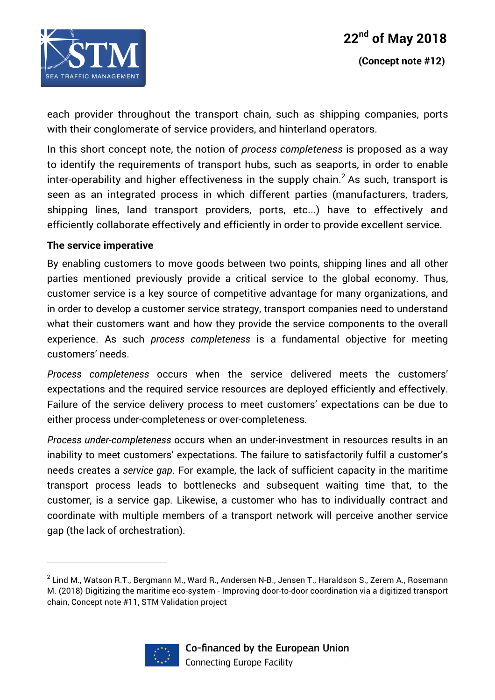

each provider throughout the transport chain, such as shipping companies, ports with their conglomerate of service providers, and hinterland operators.

In this short concept note, the notion of *process completeness* is proposed as a way to identify the requirements of transport hubs, such as seaports, in order to enable inter-operability and higher effectiveness in the supply chain. $^2$  As such, transport is seen as an integrated process in which different parties (manufacturers, traders, shipping lines, land transport providers, ports, etc...) have to effectively and efficiently collaborate effectively and efficiently in order to provide excellent service.

#### **The service imperative**

 $\overline{a}$ 

By enabling customers to move goods between two points, shipping lines and all other parties mentioned previously provide a critical service to the global economy. Thus, customer service is a key source of competitive advantage for many organizations, and in order to develop a customer service strategy, transport companies need to understand what their customers want and how they provide the service components to the overall experience. As such *process completeness* is a fundamental objective for meeting customers' needs.

*Process completeness* occurs when the service delivered meets the customers' expectations and the required service resources are deployed efficiently and effectively. Failure of the service delivery process to meet customers' expectations can be due to either process under-completeness or over-completeness.

*Process under-completeness* occurs when an under-investment in resources results in an inability to meet customers' expectations. The failure to satisfactorily fulfil a customer's needs creates a *service gap*. For example, the lack of sufficient capacity in the maritime transport process leads to bottlenecks and subsequent waiting time that, to the customer, is a service gap. Likewise, a customer who has to individually contract and coordinate with multiple members of a transport network will perceive another service gap (the lack of orchestration).

 $2$  Lind M., Watson R.T., Bergmann M., Ward R., Andersen N-B., Jensen T., Haraldson S., Zerem A., Rosemann M. (2018) Digitizing the maritime eco-system - Improving door-to-door coordination via a digitized transport chain, Concept note #11, STM Validation project

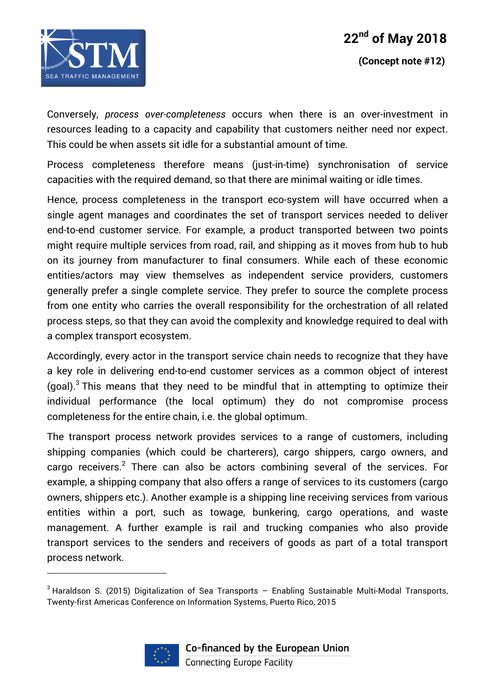

Conversely, *process over-completeness* occurs when there is an over-investment in resources leading to a capacity and capability that customers neither need nor expect. This could be when assets sit idle for a substantial amount of time.

Process completeness therefore means (just-in-time) synchronisation of service capacities with the required demand, so that there are minimal waiting or idle times.

Hence, process completeness in the transport eco-system will have occurred when a single agent manages and coordinates the set of transport services needed to deliver end-to-end customer service. For example, a product transported between two points might require multiple services from road, rail, and shipping as it moves from hub to hub on its journey from manufacturer to final consumers. While each of these economic entities/actors may view themselves as independent service providers, customers generally prefer a single complete service. They prefer to source the complete process from one entity who carries the overall responsibility for the orchestration of all related process steps, so that they can avoid the complexity and knowledge required to deal with a complex transport ecosystem.

Accordingly, every actor in the transport service chain needs to recognize that they have a key role in delivering end-to-end customer services as a common object of interest (goal). $3$  This means that they need to be mindful that in attempting to optimize their individual performance (the local optimum) they do not compromise process completeness for the entire chain, i.e. the global optimum.

The transport process network provides services to a range of customers, including shipping companies (which could be charterers), cargo shippers, cargo owners, and cargo receivers.<sup>2</sup> There can also be actors combining several of the services. For example, a shipping company that also offers a range of services to its customers (cargo owners, shippers etc.). Another example is a shipping line receiving services from various entities within a port, such as towage, bunkering, cargo operations, and waste management. A further example is rail and trucking companies who also provide transport services to the senders and receivers of goods as part of a total transport process network.

 $3$  Haraldson S. (2015) Digitalization of Sea Transports - Enabling Sustainable Multi-Modal Transports, Twenty-first Americas Conference on Information Systems, Puerto Rico, 2015

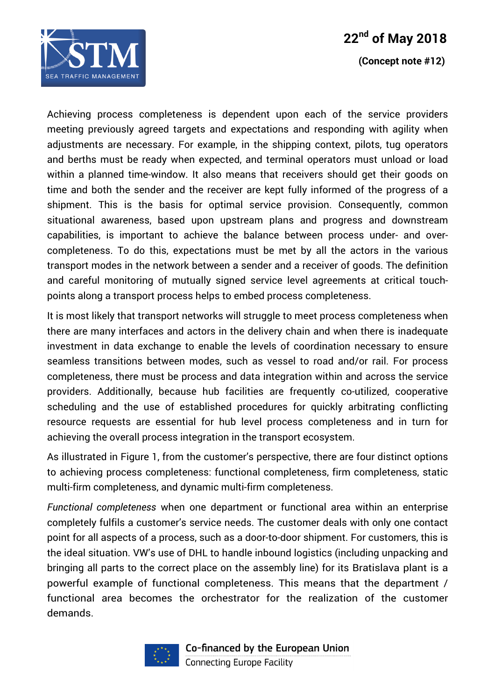

# **22nd of May 2018**

 **(Concept note #12)**

Achieving process completeness is dependent upon each of the service providers meeting previously agreed targets and expectations and responding with agility when adjustments are necessary. For example, in the shipping context, pilots, tug operators and berths must be ready when expected, and terminal operators must unload or load within a planned time-window. It also means that receivers should get their goods on time and both the sender and the receiver are kept fully informed of the progress of a shipment. This is the basis for optimal service provision. Consequently, common situational awareness, based upon upstream plans and progress and downstream capabilities, is important to achieve the balance between process under- and overcompleteness. To do this, expectations must be met by all the actors in the various transport modes in the network between a sender and a receiver of goods. The definition and careful monitoring of mutually signed service level agreements at critical touchpoints along a transport process helps to embed process completeness.

It is most likely that transport networks will struggle to meet process completeness when there are many interfaces and actors in the delivery chain and when there is inadequate investment in data exchange to enable the levels of coordination necessary to ensure seamless transitions between modes, such as vessel to road and/or rail. For process completeness, there must be process and data integration within and across the service providers. Additionally, because hub facilities are frequently co-utilized, cooperative scheduling and the use of established procedures for quickly arbitrating conflicting resource requests are essential for hub level process completeness and in turn for achieving the overall process integration in the transport ecosystem.

As illustrated in Figure 1, from the customer's perspective, there are four distinct options to achieving process completeness: functional completeness, firm completeness, static multi-firm completeness, and dynamic multi-firm completeness.

*Functional completeness* when one department or functional area within an enterprise completely fulfils a customer's service needs. The customer deals with only one contact point for all aspects of a process, such as a door-to-door shipment. For customers, this is the ideal situation. VW's use of DHL to handle inbound logistics (including unpacking and bringing all parts to the correct place on the assembly line) for its Bratislava plant is a powerful example of functional completeness. This means that the department / functional area becomes the orchestrator for the realization of the customer demands.



Co-financed by the European Union Connecting Europe Facility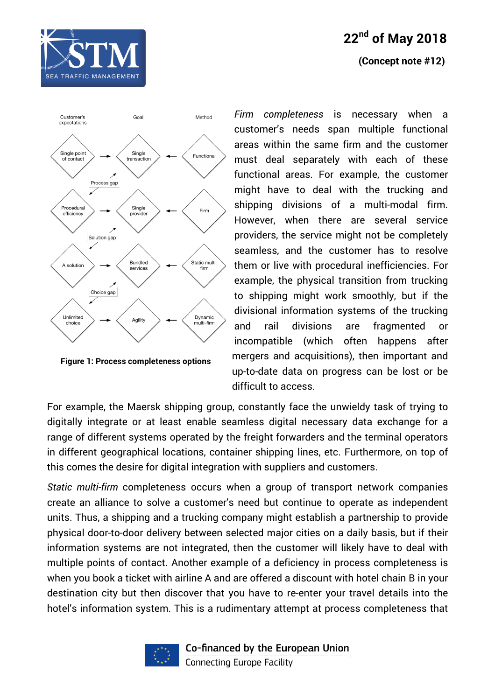

### **22nd of May 2018**

#### **(Concept note #12)**



**Figure 1: Process completeness options**

*Firm completeness* is necessary when a customer's needs span multiple functional areas within the same firm and the customer must deal separately with each of these functional areas. For example, the customer might have to deal with the trucking and shipping divisions of a multi-modal firm. However, when there are several service providers, the service might not be completely seamless, and the customer has to resolve them or live with procedural inefficiencies. For example, the physical transition from trucking to shipping might work smoothly, but if the divisional information systems of the trucking and rail divisions are fragmented or incompatible (which often happens after mergers and acquisitions), then important and up-to-date data on progress can be lost or be difficult to access.

For example, the Maersk shipping group, constantly face the unwieldy task of trying to digitally integrate or at least enable seamless digital necessary data exchange for a range of different systems operated by the freight forwarders and the terminal operators in different geographical locations, container shipping lines, etc. Furthermore, on top of this comes the desire for digital integration with suppliers and customers.

*Static multi-firm* completeness occurs when a group of transport network companies create an alliance to solve a customer's need but continue to operate as independent units. Thus, a shipping and a trucking company might establish a partnership to provide physical door-to-door delivery between selected major cities on a daily basis, but if their information systems are not integrated, then the customer will likely have to deal with multiple points of contact. Another example of a deficiency in process completeness is when you book a ticket with airline A and are offered a discount with hotel chain B in your destination city but then discover that you have to re-enter your travel details into the hotel's information system. This is a rudimentary attempt at process completeness that



Co-financed by the European Union **Connecting Europe Facility**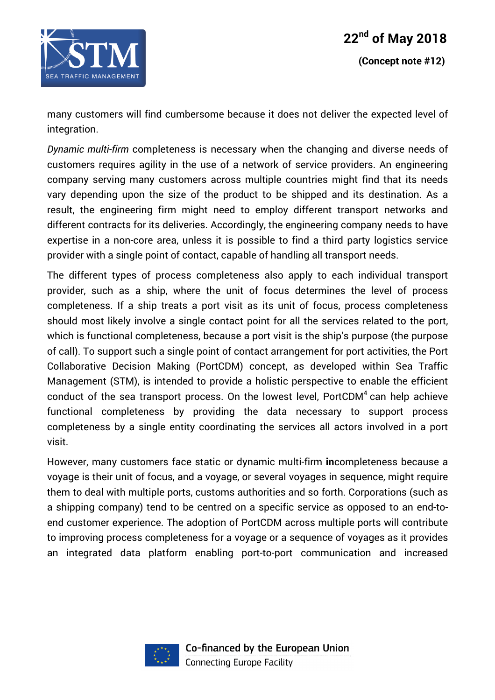

many customers will find cumbersome because it does not deliver the expected level of integration.

*Dynamic multi-firm* completeness is necessary when the changing and diverse needs of customers requires agility in the use of a network of service providers. An engineering company serving many customers across multiple countries might find that its needs vary depending upon the size of the product to be shipped and its destination. As a result, the engineering firm might need to employ different transport networks and different contracts for its deliveries. Accordingly, the engineering company needs to have expertise in a non-core area, unless it is possible to find a third party logistics service provider with a single point of contact, capable of handling all transport needs.

The different types of process completeness also apply to each individual transport provider, such as a ship, where the unit of focus determines the level of process completeness. If a ship treats a port visit as its unit of focus, process completeness should most likely involve a single contact point for all the services related to the port, which is functional completeness, because a port visit is the ship's purpose (the purpose of call). To support such a single point of contact arrangement for port activities, the Port Collaborative Decision Making (PortCDM) concept, as developed within Sea Traffic Management (STM), is intended to provide a holistic perspective to enable the efficient conduct of the sea transport process. On the lowest level,  $PortCDM<sup>4</sup>$  can help achieve functional completeness by providing the data necessary to support process completeness by a single entity coordinating the services all actors involved in a port visit.

However, many customers face static or dynamic multi-firm **in**completeness because a voyage is their unit of focus, and a voyage, or several voyages in sequence, might require them to deal with multiple ports, customs authorities and so forth. Corporations (such as a shipping company) tend to be centred on a specific service as opposed to an end-toend customer experience. The adoption of PortCDM across multiple ports will contribute to improving process completeness for a voyage or a sequence of voyages as it provides an integrated data platform enabling port-to-port communication and increased

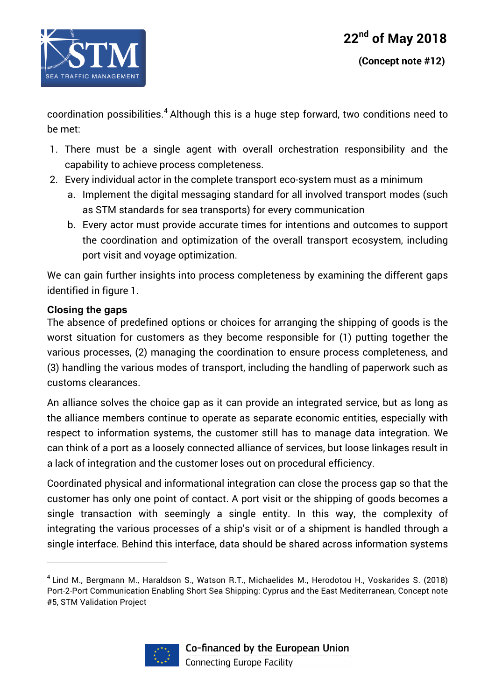

coordination possibilities.<sup>4</sup> Although this is a huge step forward, two conditions need to be met:

- 1. There must be a single agent with overall orchestration responsibility and the capability to achieve process completeness.
- 2. Every individual actor in the complete transport eco-system must as a minimum
	- a. Implement the digital messaging standard for all involved transport modes (such as STM standards for sea transports) for every communication
	- b. Every actor must provide accurate times for intentions and outcomes to support the coordination and optimization of the overall transport ecosystem, including port visit and voyage optimization.

We can gain further insights into process completeness by examining the different gaps identified in figure 1.

#### **Closing the gaps**

 $\overline{a}$ 

The absence of predefined options or choices for arranging the shipping of goods is the worst situation for customers as they become responsible for (1) putting together the various processes, (2) managing the coordination to ensure process completeness, and (3) handling the various modes of transport, including the handling of paperwork such as customs clearances.

An alliance solves the choice gap as it can provide an integrated service, but as long as the alliance members continue to operate as separate economic entities, especially with respect to information systems, the customer still has to manage data integration. We can think of a port as a loosely connected alliance of services, but loose linkages result in a lack of integration and the customer loses out on procedural efficiency.

Coordinated physical and informational integration can close the process gap so that the customer has only one point of contact. A port visit or the shipping of goods becomes a single transaction with seemingly a single entity. In this way, the complexity of integrating the various processes of a ship's visit or of a shipment is handled through a single interface. Behind this interface, data should be shared across information systems

<sup>4</sup> Lind M., Bergmann M., Haraldson S., Watson R.T., Michaelides M., Herodotou H., Voskarides S. (2018) Port-2-Port Communication Enabling Short Sea Shipping: Cyprus and the East Mediterranean, Concept note #5, STM Validation Project

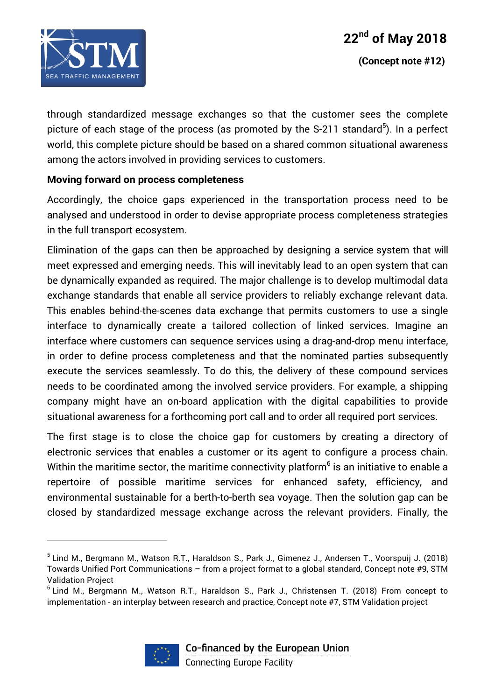

through standardized message exchanges so that the customer sees the complete picture of each stage of the process (as promoted by the S-211 standard<sup>5</sup>). In a perfect world, this complete picture should be based on a shared common situational awareness among the actors involved in providing services to customers.

#### **Moving forward on process completeness**

Accordingly, the choice gaps experienced in the transportation process need to be analysed and understood in order to devise appropriate process completeness strategies in the full transport ecosystem.

Elimination of the gaps can then be approached by designing a service system that will meet expressed and emerging needs. This will inevitably lead to an open system that can be dynamically expanded as required. The major challenge is to develop multimodal data exchange standards that enable all service providers to reliably exchange relevant data. This enables behind-the-scenes data exchange that permits customers to use a single interface to dynamically create a tailored collection of linked services. Imagine an interface where customers can sequence services using a drag-and-drop menu interface, in order to define process completeness and that the nominated parties subsequently execute the services seamlessly. To do this, the delivery of these compound services needs to be coordinated among the involved service providers. For example, a shipping company might have an on-board application with the digital capabilities to provide situational awareness for a forthcoming port call and to order all required port services.

The first stage is to close the choice gap for customers by creating a directory of electronic services that enables a customer or its agent to configure a process chain. Within the maritime sector, the maritime connectivity platform<sup>6</sup> is an initiative to enable a repertoire of possible maritime services for enhanced safety, efficiency, and environmental sustainable for a berth-to-berth sea voyage. Then the solution gap can be closed by standardized message exchange across the relevant providers. Finally, the

<sup>6</sup> Lind M., Bergmann M., Watson R.T., Haraldson S., Park J., Christensen T. (2018) From concept to implementation - an interplay between research and practice, Concept note #7, STM Validation project



<sup>5</sup> Lind M., Bergmann M., Watson R.T., Haraldson S., Park J., Gimenez J., Andersen T., Voorspuij J. (2018) Towards Unified Port Communications – from a project format to a global standard, Concept note #9, STM Validation Project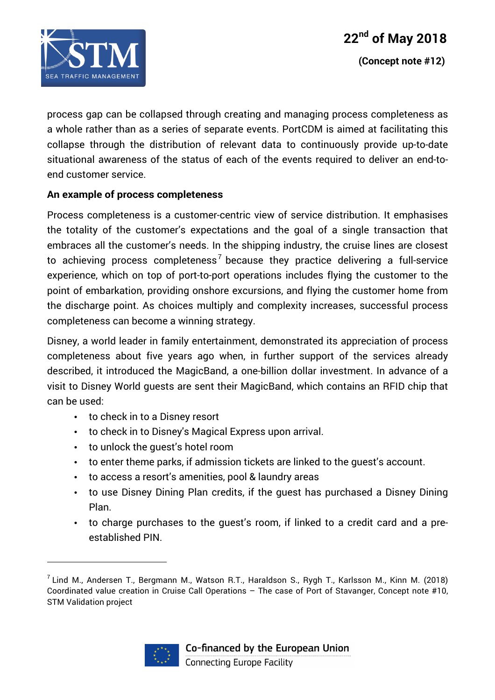

process gap can be collapsed through creating and managing process completeness as a whole rather than as a series of separate events. PortCDM is aimed at facilitating this collapse through the distribution of relevant data to continuously provide up-to-date situational awareness of the status of each of the events required to deliver an end-toend customer service.

#### **An example of process completeness**

Process completeness is a customer-centric view of service distribution. It emphasises the totality of the customer's expectations and the goal of a single transaction that embraces all the customer's needs. In the shipping industry, the cruise lines are closest to achieving process completeness<sup>7</sup> because they practice delivering a full-service experience, which on top of port-to-port operations includes flying the customer to the point of embarkation, providing onshore excursions, and flying the customer home from the discharge point. As choices multiply and complexity increases, successful process completeness can become a winning strategy.

Disney, a world leader in family entertainment, demonstrated its appreciation of process completeness about five years ago when, in further support of the services already described, it introduced the MagicBand, a one-billion dollar investment. In advance of a visit to Disney World guests are sent their MagicBand, which contains an RFID chip that can be used:

• to check in to a Disney resort

- to check in to Disney's Magical Express upon arrival.
- to unlock the guest's hotel room
- to enter theme parks, if admission tickets are linked to the guest's account.
- to access a resort's amenities, pool & laundry areas
- to use Disney Dining Plan credits, if the guest has purchased a Disney Dining Plan.
- to charge purchases to the guest's room, if linked to a credit card and a preestablished PIN.

 $^7$  Lind M., Andersen T., Bergmann M., Watson R.T., Haraldson S., Rygh T., Karlsson M., Kinn M. (2018) Coordinated value creation in Cruise Call Operations – The case of Port of Stavanger, Concept note #10, STM Validation project

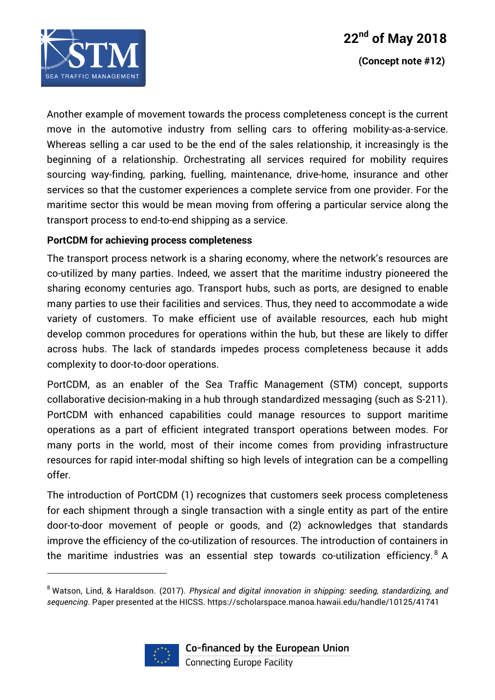

Another example of movement towards the process completeness concept is the current move in the automotive industry from selling cars to offering mobility-as-a-service. Whereas selling a car used to be the end of the sales relationship, it increasingly is the beginning of a relationship. Orchestrating all services required for mobility requires sourcing way-finding, parking, fuelling, maintenance, drive-home, insurance and other services so that the customer experiences a complete service from one provider. For the maritime sector this would be mean moving from offering a particular service along the transport process to end-to-end shipping as a service.

#### **PortCDM for achieving process completeness**

The transport process network is a sharing economy, where the network's resources are co-utilized by many parties. Indeed, we assert that the maritime industry pioneered the sharing economy centuries ago. Transport hubs, such as ports, are designed to enable many parties to use their facilities and services. Thus, they need to accommodate a wide variety of customers. To make efficient use of available resources, each hub might develop common procedures for operations within the hub, but these are likely to differ across hubs. The lack of standards impedes process completeness because it adds complexity to door-to-door operations.

PortCDM, as an enabler of the Sea Traffic Management (STM) concept, supports collaborative decision-making in a hub through standardized messaging (such as S-211). PortCDM with enhanced capabilities could manage resources to support maritime operations as a part of efficient integrated transport operations between modes. For many ports in the world, most of their income comes from providing infrastructure resources for rapid inter-modal shifting so high levels of integration can be a compelling offer.

The introduction of PortCDM (1) recognizes that customers seek process completeness for each shipment through a single transaction with a single entity as part of the entire door-to-door movement of people or goods, and (2) acknowledges that standards improve the efficiency of the co-utilization of resources. The introduction of containers in the maritime industries was an essential step towards co-utilization efficiency. <sup>8</sup> A

<sup>8</sup> Watson, Lind, & Haraldson. (2017). *Physical and digital innovation in shipping: seeding, standardizing, and sequencing*. Paper presented at the HICSS. https://scholarspace.manoa.hawaii.edu/handle/10125/41741

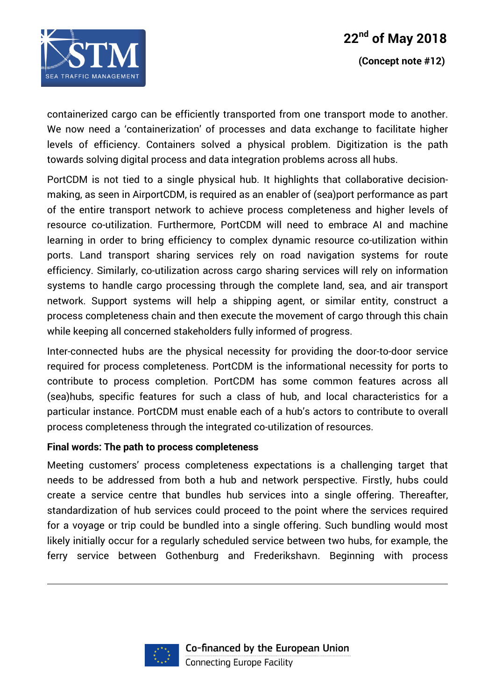

containerized cargo can be efficiently transported from one transport mode to another. We now need a 'containerization' of processes and data exchange to facilitate higher levels of efficiency. Containers solved a physical problem. Digitization is the path towards solving digital process and data integration problems across all hubs.

PortCDM is not tied to a single physical hub. It highlights that collaborative decisionmaking, as seen in AirportCDM, is required as an enabler of (sea)port performance as part of the entire transport network to achieve process completeness and higher levels of resource co-utilization. Furthermore, PortCDM will need to embrace AI and machine learning in order to bring efficiency to complex dynamic resource co-utilization within ports. Land transport sharing services rely on road navigation systems for route efficiency. Similarly, co-utilization across cargo sharing services will rely on information systems to handle cargo processing through the complete land, sea, and air transport network. Support systems will help a shipping agent, or similar entity, construct a process completeness chain and then execute the movement of cargo through this chain while keeping all concerned stakeholders fully informed of progress.

Inter-connected hubs are the physical necessity for providing the door-to-door service required for process completeness. PortCDM is the informational necessity for ports to contribute to process completion. PortCDM has some common features across all (sea)hubs, specific features for such a class of hub, and local characteristics for a particular instance. PortCDM must enable each of a hub's actors to contribute to overall process completeness through the integrated co-utilization of resources.

#### **Final words: The path to process completeness**

Meeting customers' process completeness expectations is a challenging target that needs to be addressed from both a hub and network perspective. Firstly, hubs could create a service centre that bundles hub services into a single offering. Thereafter, standardization of hub services could proceed to the point where the services required for a voyage or trip could be bundled into a single offering. Such bundling would most likely initially occur for a regularly scheduled service between two hubs, for example, the ferry service between Gothenburg and Frederikshavn. Beginning with process